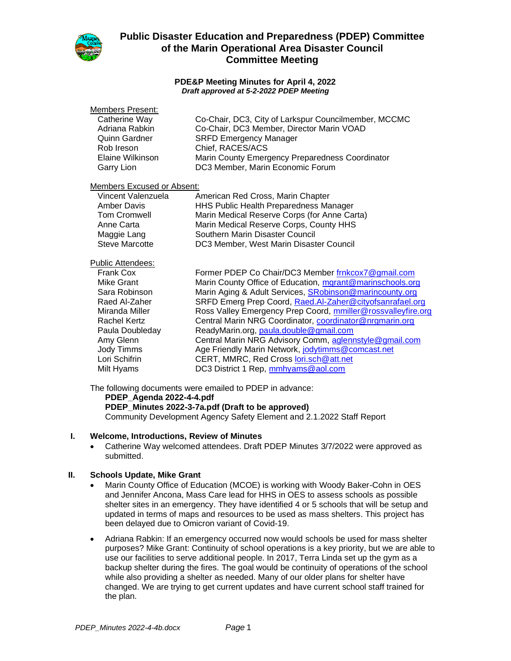

#### **PDE&P Meeting Minutes for April 4, 2022** *Draft approved at 5-2-2022 PDEP Meeting*

#### Members Present:

| Catherine Way    | Co-Chair, DC3, City of Larkspur Councilmember, MCCMC |
|------------------|------------------------------------------------------|
| Adriana Rabkin   | Co-Chair, DC3 Member, Director Marin VOAD            |
| Quinn Gardner    | <b>SRFD Emergency Manager</b>                        |
| Rob Ireson       | Chief, RACES/ACS                                     |
| Elaine Wilkinson | Marin County Emergency Preparedness Coordinator      |
| Garry Lion       | DC3 Member, Marin Economic Forum                     |
|                  |                                                      |

### Members Excused or Absent:

| Vincent Valenzuela    | American Red Cross, Marin Chapter            |
|-----------------------|----------------------------------------------|
| <b>Amber Davis</b>    | HHS Public Health Preparedness Manager       |
| <b>Tom Cromwell</b>   | Marin Medical Reserve Corps (for Anne Carta) |
| Anne Carta            | Marin Medical Reserve Corps, County HHS      |
| Maggie Lang           | Southern Marin Disaster Council              |
| <b>Steve Marcotte</b> | DC3 Member, West Marin Disaster Council      |

#### Public Attendees:

| Frank Cox       | Former PDEP Co Chair/DC3 Member frnkcox7@gmail.com           |
|-----------------|--------------------------------------------------------------|
| Mike Grant      | Marin County Office of Education, marant@marinschools.org    |
| Sara Robinson   | Marin Aging & Adult Services, SRobinson@marincounty.org      |
| Raed Al-Zaher   | SRFD Emerg Prep Coord, Raed.Al-Zaher@cityofsanrafael.org     |
| Miranda Miller  | Ross Valley Emergency Prep Coord, mmiller@rossvalleyfire.org |
| Rachel Kertz    | Central Marin NRG Coordinator, coordinator@nrgmarin.org      |
| Paula Doubleday | ReadyMarin.org, paula.double@gmail.com                       |
| Amy Glenn       | Central Marin NRG Advisory Comm, aglennstyle@gmail.com       |
| Jody Timms      | Age Friendly Marin Network, jodytimms@comcast.net            |
| Lori Schifrin   | CERT, MMRC, Red Cross lori.sch@att.net                       |
| Milt Hyams      | DC3 District 1 Rep, mmhyams@aol.com                          |
|                 |                                                              |

The following documents were emailed to PDEP in advance:

**PDEP\_Agenda 2022-4-4.pdf**

**PDEP\_Minutes 2022-3-7a.pdf (Draft to be approved)**

Community Development Agency Safety Element and 2.1.2022 Staff Report

## **I. Welcome, Introductions, Review of Minutes**

• Catherine Way welcomed attendees. Draft PDEP Minutes 3/7/2022 were approved as submitted.

## **II. Schools Update, Mike Grant**

- Marin County Office of Education (MCOE) is working with Woody Baker-Cohn in OES and Jennifer Ancona, Mass Care lead for HHS in OES to assess schools as possible shelter sites in an emergency. They have identified 4 or 5 schools that will be setup and updated in terms of maps and resources to be used as mass shelters. This project has been delayed due to Omicron variant of Covid-19.
- Adriana Rabkin: If an emergency occurred now would schools be used for mass shelter purposes? Mike Grant: Continuity of school operations is a key priority, but we are able to use our facilities to serve additional people. In 2017, Terra Linda set up the gym as a backup shelter during the fires. The goal would be continuity of operations of the school while also providing a shelter as needed. Many of our older plans for shelter have changed. We are trying to get current updates and have current school staff trained for the plan.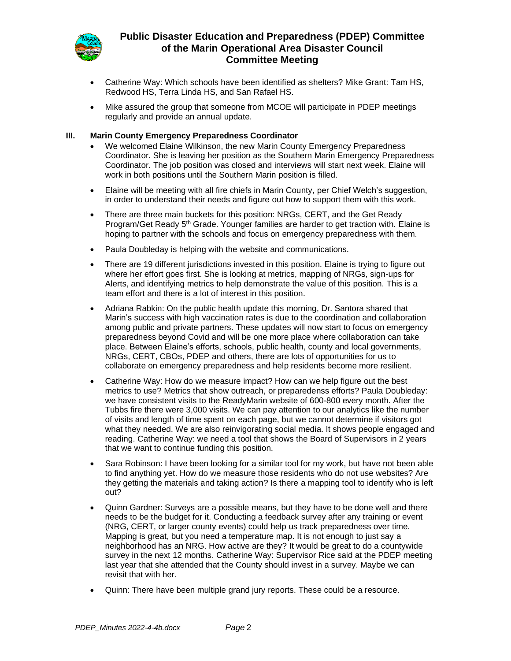

- Catherine Way: Which schools have been identified as shelters? Mike Grant: Tam HS, Redwood HS, Terra Linda HS, and San Rafael HS.
- Mike assured the group that someone from MCOE will participate in PDEP meetings regularly and provide an annual update.

### **III. Marin County Emergency Preparedness Coordinator**

- We welcomed Elaine Wilkinson, the new Marin County Emergency Preparedness Coordinator. She is leaving her position as the Southern Marin Emergency Preparedness Coordinator. The job position was closed and interviews will start next week. Elaine will work in both positions until the Southern Marin position is filled.
- Elaine will be meeting with all fire chiefs in Marin County, per Chief Welch's suggestion, in order to understand their needs and figure out how to support them with this work.
- There are three main buckets for this position: NRGs, CERT, and the Get Ready Program/Get Ready 5<sup>th</sup> Grade. Younger families are harder to get traction with. Elaine is hoping to partner with the schools and focus on emergency preparedness with them.
- Paula Doubleday is helping with the website and communications.
- There are 19 different jurisdictions invested in this position. Elaine is trying to figure out where her effort goes first. She is looking at metrics, mapping of NRGs, sign-ups for Alerts, and identifying metrics to help demonstrate the value of this position. This is a team effort and there is a lot of interest in this position.
- Adriana Rabkin: On the public health update this morning, Dr. Santora shared that Marin's success with high vaccination rates is due to the coordination and collaboration among public and private partners. These updates will now start to focus on emergency preparedness beyond Covid and will be one more place where collaboration can take place. Between Elaine's efforts, schools, public health, county and local governments, NRGs, CERT, CBOs, PDEP and others, there are lots of opportunities for us to collaborate on emergency preparedness and help residents become more resilient.
- Catherine Way: How do we measure impact? How can we help figure out the best metrics to use? Metrics that show outreach, or preparedenss efforts? Paula Doubleday: we have consistent visits to the ReadyMarin website of 600-800 every month. After the Tubbs fire there were 3,000 visits. We can pay attention to our analytics like the number of visits and length of time spent on each page, but we cannot determine if visitors got what they needed. We are also reinvigorating social media. It shows people engaged and reading. Catherine Way: we need a tool that shows the Board of Supervisors in 2 years that we want to continue funding this position.
- Sara Robinson: I have been looking for a similar tool for my work, but have not been able to find anything yet. How do we measure those residents who do not use websites? Are they getting the materials and taking action? Is there a mapping tool to identify who is left out?
- Quinn Gardner: Surveys are a possible means, but they have to be done well and there needs to be the budget for it. Conducting a feedback survey after any training or event (NRG, CERT, or larger county events) could help us track preparedness over time. Mapping is great, but you need a temperature map. It is not enough to just say a neighborhood has an NRG. How active are they? It would be great to do a countywide survey in the next 12 months. Catherine Way: Supervisor Rice said at the PDEP meeting last year that she attended that the County should invest in a survey. Maybe we can revisit that with her.
- Quinn: There have been multiple grand jury reports. These could be a resource.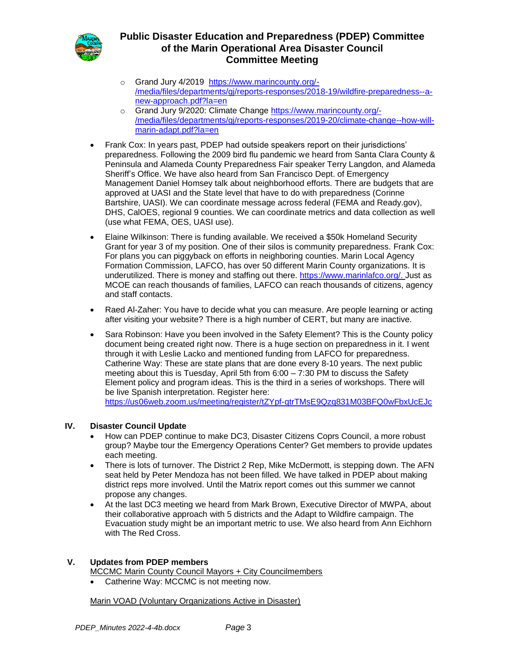

- o Grand Jury 4/2019 [https://www.marincounty.org/-](https://www.marincounty.org/-/media/files/departments/gj/reports-responses/2018-19/wildfire-preparedness--a-new-approach.pdf?la=en) [/media/files/departments/gj/reports-responses/2018-19/wildfire-preparedness--a](https://www.marincounty.org/-/media/files/departments/gj/reports-responses/2018-19/wildfire-preparedness--a-new-approach.pdf?la=en)[new-approach.pdf?la=en](https://www.marincounty.org/-/media/files/departments/gj/reports-responses/2018-19/wildfire-preparedness--a-new-approach.pdf?la=en)
- o Grand Jury 9/2020: Climate Change [https://www.marincounty.org/-](https://www.marincounty.org/-/media/files/departments/gj/reports-responses/2019-20/climate-change--how-will-marin-adapt.pdf?la=en) [/media/files/departments/gj/reports-responses/2019-20/climate-change--how-will](https://www.marincounty.org/-/media/files/departments/gj/reports-responses/2019-20/climate-change--how-will-marin-adapt.pdf?la=en)[marin-adapt.pdf?la=en](https://www.marincounty.org/-/media/files/departments/gj/reports-responses/2019-20/climate-change--how-will-marin-adapt.pdf?la=en)
- Frank Cox: In years past, PDEP had outside speakers report on their jurisdictions' preparedness. Following the 2009 bird flu pandemic we heard from Santa Clara County & Peninsula and Alameda County Preparedness Fair speaker Terry Langdon, and Alameda Sheriff's Office. We have also heard from San Francisco Dept. of Emergency Management Daniel Homsey talk about neighborhood efforts. There are budgets that are approved at UASI and the State level that have to do with preparedness (Corinne Bartshire, UASI). We can coordinate message across federal (FEMA and Ready.gov), DHS, CalOES, regional 9 counties. We can coordinate metrics and data collection as well (use what FEMA, OES, UASI use).
- Elaine Wilkinson: There is funding available. We received a \$50k Homeland Security Grant for year 3 of my position. One of their silos is community preparedness. Frank Cox: For plans you can piggyback on efforts in neighboring counties. Marin Local Agency Formation Commission, LAFCO, has over 50 different Marin County organizations. It is underutilized. There is money and staffing out there. [https://www.marinlafco.org/.](https://www.marinlafco.org/) Just as MCOE can reach thousands of families, LAFCO can reach thousands of citizens, agency and staff contacts.
- Raed Al-Zaher: You have to decide what you can measure. Are people learning or acting after visiting your website? There is a high number of CERT, but many are inactive.
- Sara Robinson: Have you been involved in the Safety Element? This is the County policy document being created right now. There is a huge section on preparedness in it. I went through it with Leslie Lacko and mentioned funding from LAFCO for preparedness. Catherine Way: These are state plans that are done every 8-10 years. The next public meeting about this is Tuesday, April 5th from 6:00 – 7:30 PM to discuss the Safety Element policy and program ideas. This is the third in a series of workshops. There will be live Spanish interpretation. Register here:

<https://us06web.zoom.us/meeting/register/tZYpf-qtrTMsE9Qzq831M03BFQ0wFbxUcEJc>

## **IV. Disaster Council Update**

- How can PDEP continue to make DC3, Disaster Citizens Coprs Council, a more robust group? Maybe tour the Emergency Operations Center? Get members to provide updates each meeting.
- There is lots of turnover. The District 2 Rep, Mike McDermott, is stepping down. The AFN seat held by Peter Mendoza has not been filled. We have talked in PDEP about making district reps more involved. Until the Matrix report comes out this summer we cannot propose any changes.
- At the last DC3 meeting we heard from Mark Brown, Executive Director of MWPA, about their collaborative approach with 5 districts and the Adapt to Wildfire campaign. The Evacuation study might be an important metric to use. We also heard from Ann Eichhorn with The Red Cross.

## **V. Updates from PDEP members**

MCCMC Marin County Council Mayors + City Councilmembers

• Catherine Way: MCCMC is not meeting now.

Marin VOAD (Voluntary Organizations Active in Disaster)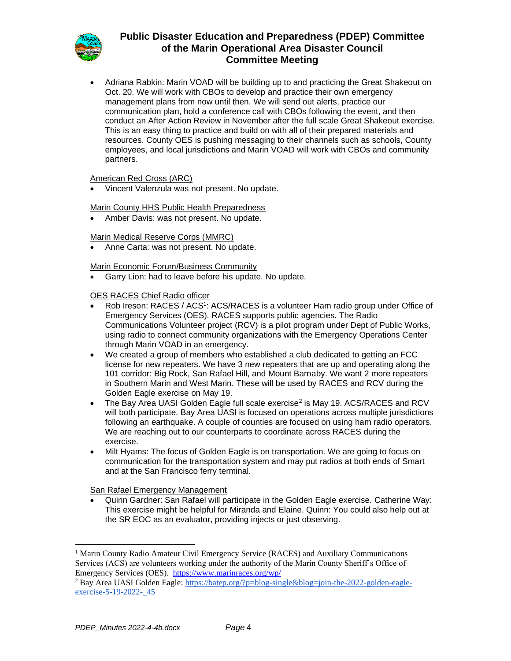

• Adriana Rabkin: Marin VOAD will be building up to and practicing the Great Shakeout on Oct. 20. We will work with CBOs to develop and practice their own emergency management plans from now until then. We will send out alerts, practice our communication plan, hold a conference call with CBOs following the event, and then conduct an After Action Review in November after the full scale Great Shakeout exercise. This is an easy thing to practice and build on with all of their prepared materials and resources. County OES is pushing messaging to their channels such as schools, County employees, and local jurisdictions and Marin VOAD will work with CBOs and community partners.

### American Red Cross (ARC)

• Vincent Valenzula was not present. No update.

Marin County HHS Public Health Preparedness

• Amber Davis: was not present. No update.

### Marin Medical Reserve Corps (MMRC)

• Anne Carta: was not present. No update.

#### Marin Economic Forum/Business Community

• Garry Lion: had to leave before his update. No update.

### OES RACES Chief Radio officer

- Rob Ireson: RACES / ACS<sup>1</sup>: ACS/RACES is a volunteer Ham radio group under Office of Emergency Services (OES). RACES supports public agencies. The Radio Communications Volunteer project (RCV) is a pilot program under Dept of Public Works, using radio to connect community organizations with the Emergency Operations Center through Marin VOAD in an emergency.
- We created a group of members who established a club dedicated to getting an FCC license for new repeaters. We have 3 new repeaters that are up and operating along the 101 corridor: Big Rock, San Rafael Hill, and Mount Barnaby. We want 2 more repeaters in Southern Marin and West Marin. These will be used by RACES and RCV during the Golden Eagle exercise on May 19.
- The Bay Area UASI Golden Eagle full scale exercise<sup>2</sup> is May 19. ACS/RACES and RCV will both participate. Bay Area UASI is focused on operations across multiple jurisdictions following an earthquake. A couple of counties are focused on using ham radio operators. We are reaching out to our counterparts to coordinate across RACES during the exercise.
- Milt Hyams: The focus of Golden Eagle is on transportation. We are going to focus on communication for the transportation system and may put radios at both ends of Smart and at the San Francisco ferry terminal.

San Rafael Emergency Management

• Quinn Gardner: San Rafael will participate in the Golden Eagle exercise. Catherine Way: This exercise might be helpful for Miranda and Elaine. Quinn: You could also help out at the SR EOC as an evaluator, providing injects or just observing.

<sup>&</sup>lt;sup>1</sup> Marin County Radio Amateur Civil Emergency Service (RACES) and Auxiliary Communications Services (ACS) are volunteers working under the authority of the Marin County Sheriff's Office of Emergency Services (OES). <https://www.marinraces.org/wp/>

<sup>&</sup>lt;sup>2</sup> Bay Area UASI Golden Eagle: [https://batep.org/?p=blog-single&blog=join-the-2022-golden-eagle](https://batep.org/?p=blog-single&blog=join-the-2022-golden-eagle-exercise-5-19-2022-_45)exercise-5-19-2022- 45